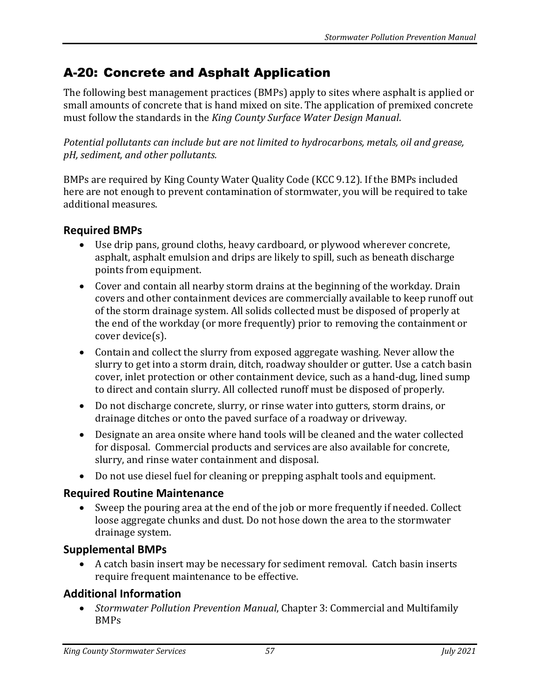# A-20: Concrete and Asphalt Application

The following best management practices (BMPs) apply to sites where asphalt is applied or small amounts of concrete that is hand mixed on site. The application of premixed concrete must follow the standards in the *King County Surface Water Design Manual*.

*Potential pollutants can include but are not limited to hydrocarbons, metals, oil and grease, pH, sediment, and other pollutants.*

BMPs are required by King County Water Quality Code (KCC 9.12). If the BMPs included here are not enough to prevent contamination of stormwater, you will be required to take additional measures.

# **Required BMPs**

- Use drip pans, ground cloths, heavy cardboard, or plywood wherever concrete, asphalt, asphalt emulsion and drips are likely to spill, such as beneath discharge points from equipment.
- Cover and contain all nearby storm drains at the beginning of the workday. Drain covers and other containment devices are commercially available to keep runoff out of the storm drainage system. All solids collected must be disposed of properly at the end of the workday (or more frequently) prior to removing the containment or cover device(s).
- Contain and collect the slurry from exposed aggregate washing. Never allow the slurry to get into a storm drain, ditch, roadway shoulder or gutter. Use a catch basin cover, inlet protection or other containment device, such as a hand-dug, lined sump to direct and contain slurry. All collected runoff must be disposed of properly.
- Do not discharge concrete, slurry, or rinse water into gutters, storm drains, or drainage ditches or onto the paved surface of a roadway or driveway.
- Designate an area onsite where hand tools will be cleaned and the water collected for disposal. Commercial products and services are also available for concrete, slurry, and rinse water containment and disposal.
- Do not use diesel fuel for cleaning or prepping asphalt tools and equipment.

### **Required Routine Maintenance**

• Sweep the pouring area at the end of the job or more frequently if needed. Collect loose aggregate chunks and dust. Do not hose down the area to the stormwater drainage system.

# **Supplemental BMPs**

• A catch basin insert may be necessary for sediment removal. Catch basin inserts require frequent maintenance to be effective.

# **Additional Information**

• *Stormwater Pollution Prevention Manual*, Chapter 3: Commercial and Multifamily BMPs